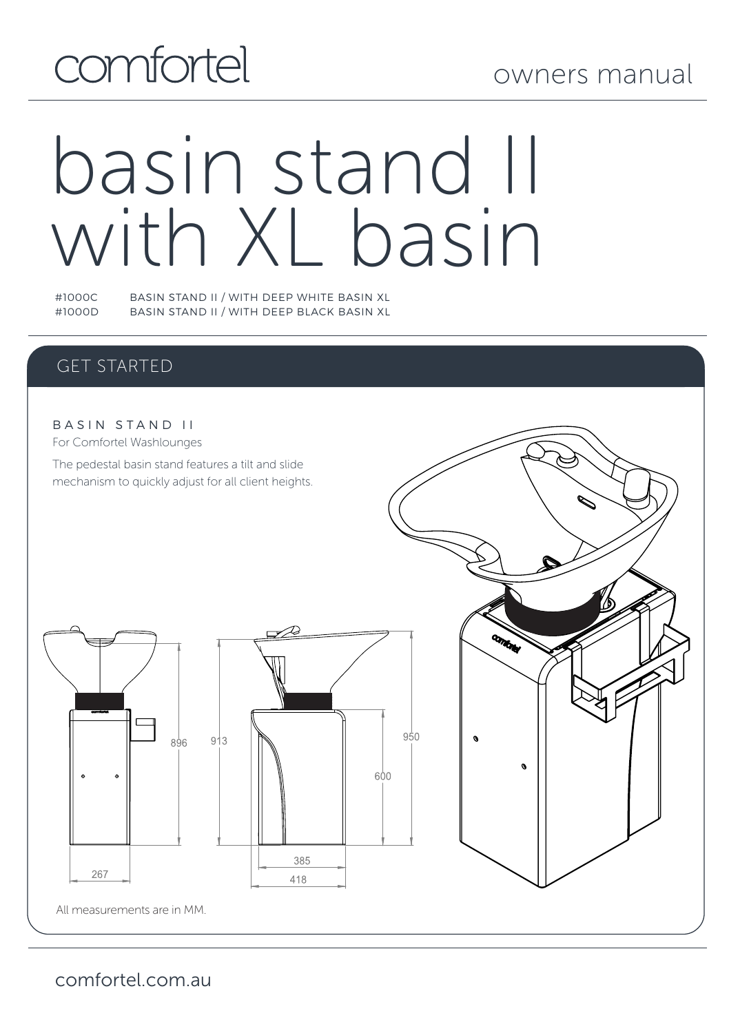# comfortel

## owners manual

# basin stand II with XL basin

#1000C BASIN STAND II / WITH DEEP WHITE BASIN XL BASIN STAND II / WITH DEEP BLACK BASIN XL

#### GET STARTED



comfortel.com.au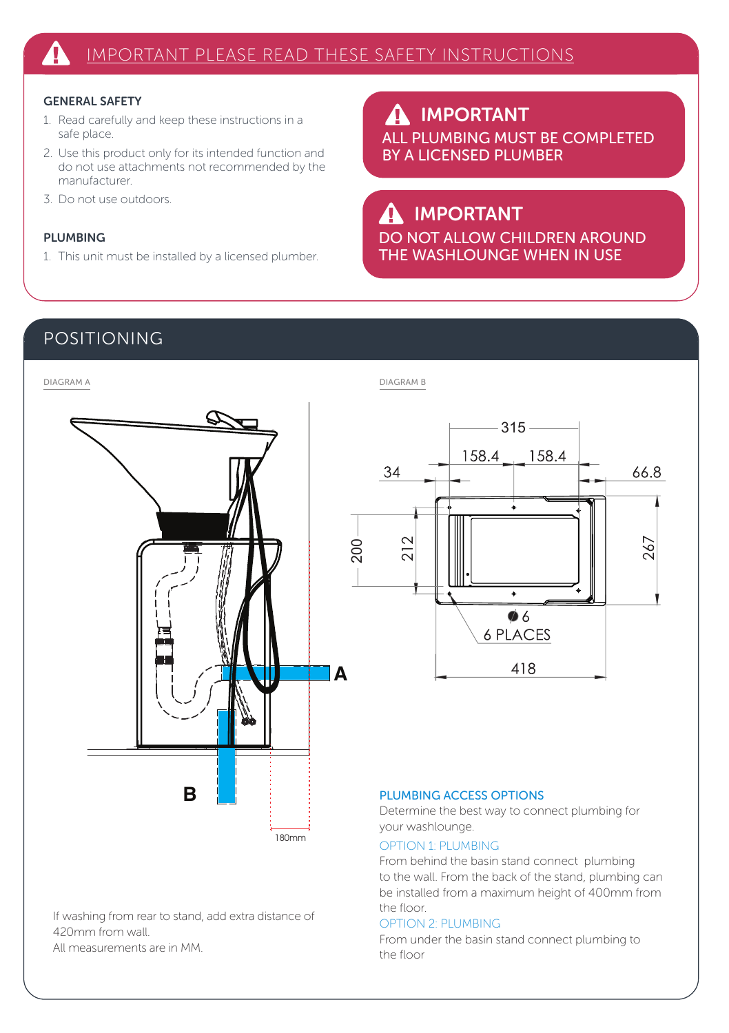#### GENERAL SAFETY

- 1. Read carefully and keep these instructions in a safe place.
- 2. Use this product only for its intended function and do not use attachments not recommended by the manufacturer.
- 3. Do not use outdoors.

#### PLUMBING

1. This unit must be installed by a licensed plumber.

IMPORTANT  $\boldsymbol{\Lambda}$ ALL PLUMBING MUST BE COMPLETED BY A LICENSED PLUMBER

## IMPORTANT

DO NOT ALLOW CHILDREN AROUND THE WASHLOUNGE WHEN IN USE

 $-315-$ 

 $\blacktriangle$  $\bullet$  6 **6 PLACES** 418

158.4

66.8

267

#### POSITIONING



If washing from rear to stand, add extra distance of 420mm from wall.

All measurements are in MM.

#### PLUMBING ACCESS OPTIONS

Determine the best way to connect plumbing for your washlounge.

#### OPTION 1: PLUMBING

From behind the basin stand connect plumbing to the wall. From the back of the stand, plumbing can be installed from a maximum height of 400mm from the floor.

#### OPTION 2: PLUMBING

From under the basin stand connect plumbing to the floor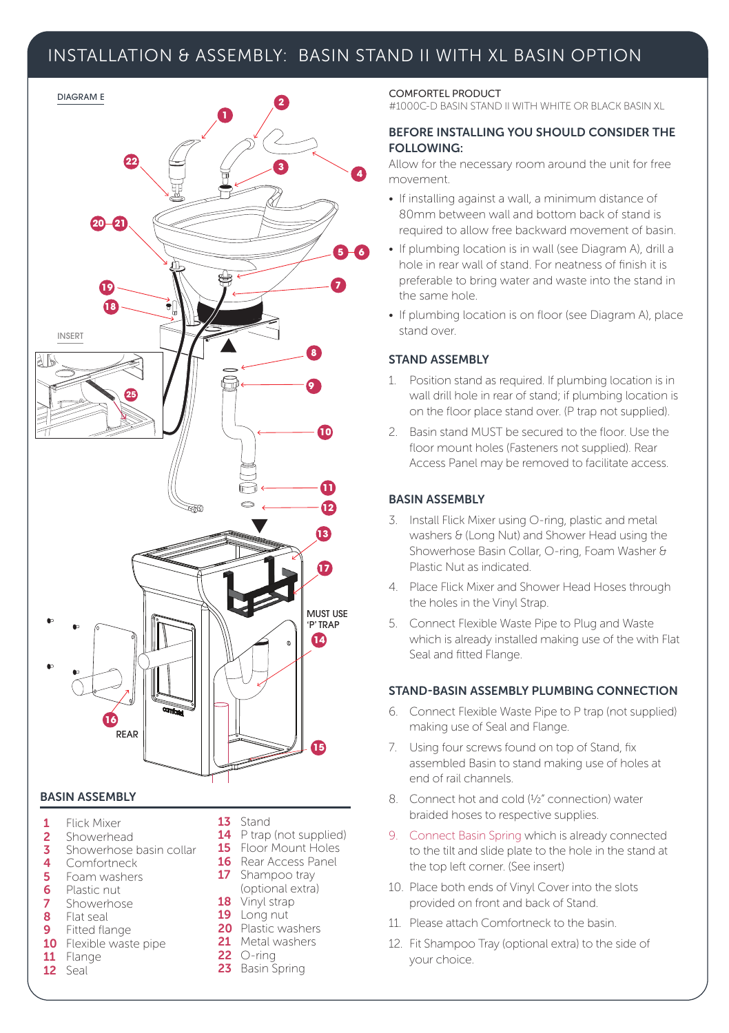#### INSTALLATION & ASSEMBLY: BASIN STAND II WITH XL BASIN OPTION



#### BASIN ASSEMBLY

- 1 Flick Mixer
- 2 Showerhead<br>3 Showerhose
- Showerhose basin collar
- 4 Comfortneck<br>5 Foam washer
- 5 Foam washers
- **6** Plastic nut
- **7** Showerhose 8 Flat seal<br>9 Fitted fla
- Fitted flange
- 10 Flexible waste pipe<br>11 Flange
- Flange
- 12 Seal
- 13 Stand
- 14 P trap (not supplied)
- 15 Floor Mount Holes
- 16 Rear Access Panel 17 Shampoo tray
- (optional extra) 18 Vinyl strap
- 19 Long nut
- 20 Plastic washers
- 21 Metal washers
- **22** ○-ring
- 23 Basin Spring

#### COMFORTEL PRODUCT

#1000C-D BASIN STAND II WITH WHITE OR BLACK BASIN XL

#### BEFORE INSTALLING YOU SHOULD CONSIDER THE FOLLOWING:

Allow for the necessary room around the unit for free movement.

- If installing against a wall, a minimum distance of 80mm between wall and bottom back of stand is required to allow free backward movement of basin.
- If plumbing location is in wall (see Diagram A), drill a hole in rear wall of stand. For neatness of finish it is preferable to bring water and waste into the stand in the same hole.
- If plumbing location is on floor (see Diagram A), place stand over.

#### STAND ASSEMBLY

- 1. Position stand as required. If plumbing location is in wall drill hole in rear of stand; if plumbing location is on the floor place stand over. (P trap not supplied).
- 2. Basin stand MUST be secured to the floor. Use the floor mount holes (Fasteners not supplied). Rear Access Panel may be removed to facilitate access.

#### BASIN ASSEMBLY

- 3. Install Flick Mixer using O-ring, plastic and metal washers & (Long Nut) and Shower Head using the Showerhose Basin Collar, O-ring, Foam Washer & Plastic Nut as indicated.
- 4. Place Flick Mixer and Shower Head Hoses through the holes in the Vinyl Strap.
- 5. Connect Flexible Waste Pipe to Plug and Waste which is already installed making use of the with Flat Seal and fitted Flange.

#### STAND-BASIN ASSEMBLY PLUMBING CONNECTION

- 6. Connect Flexible Waste Pipe to P trap (not supplied) making use of Seal and Flange.
- 7. Using four screws found on top of Stand, fix assembled Basin to stand making use of holes at end of rail channels.
- 8. Connect hot and cold (½" connection) water braided hoses to respective supplies.
- 9. Connect Basin Spring which is already connected to the tilt and slide plate to the hole in the stand at the top left corner. (See insert)
- 10. Place both ends of Vinyl Cover into the slots provided on front and back of Stand.
- 11. Please attach Comfortneck to the basin.
- 12. Fit Shampoo Tray (optional extra) to the side of your choice.